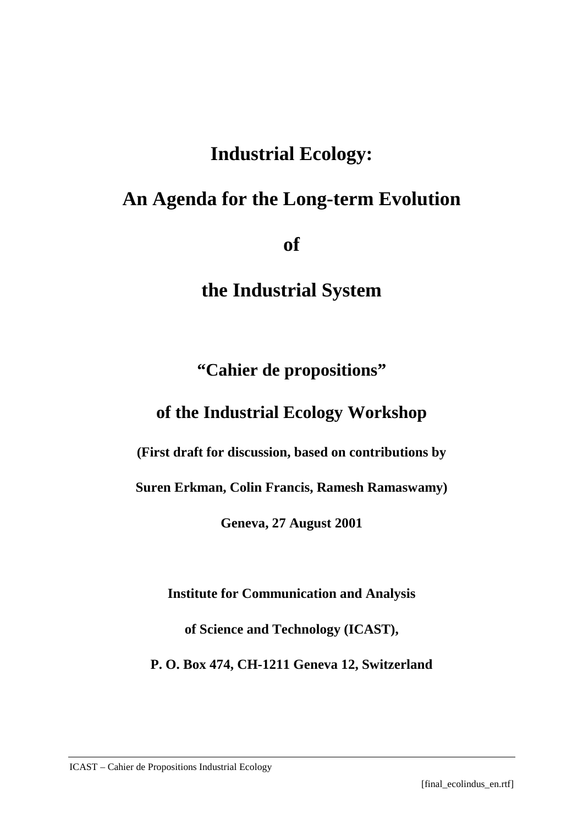# **Industrial Ecology:**

# **An Agenda for the Long-term Evolution**

**of** 

**the Industrial System**

**"Cahier de propositions"** 

## **of the Industrial Ecology Workshop**

**(First draft for discussion, based on contributions by** 

**Suren Erkman, Colin Francis, Ramesh Ramaswamy)** 

**Geneva, 27 August 2001** 

**Institute for Communication and Analysis** 

**of Science and Technology (ICAST),** 

**P. O. Box 474, CH-1211 Geneva 12, Switzerland**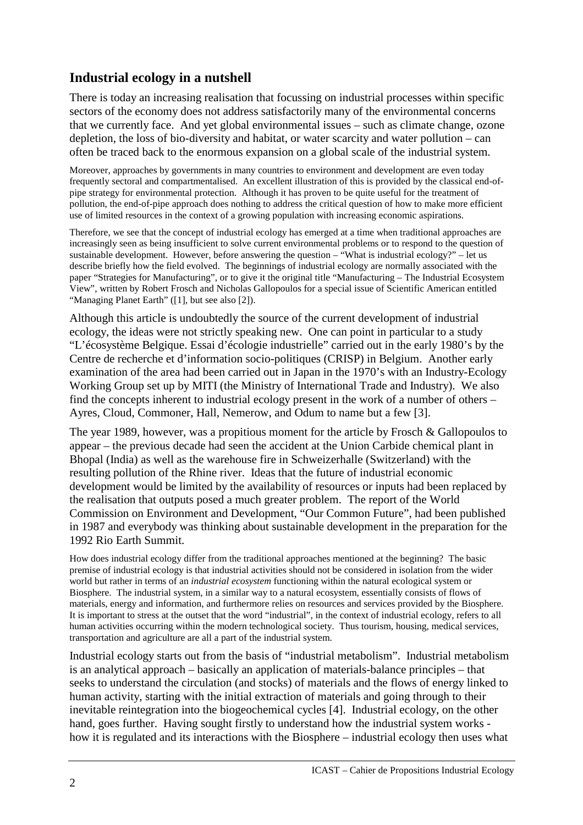## **Industrial ecology in a nutshell**

There is today an increasing realisation that focussing on industrial processes within specific sectors of the economy does not address satisfactorily many of the environmental concerns that we currently face. And yet global environmental issues – such as climate change, ozone depletion, the loss of bio-diversity and habitat, or water scarcity and water pollution – can often be traced back to the enormous expansion on a global scale of the industrial system.

Moreover, approaches by governments in many countries to environment and development are even today frequently sectoral and compartmentalised. An excellent illustration of this is provided by the classical end-ofpipe strategy for environmental protection. Although it has proven to be quite useful for the treatment of pollution, the end-of-pipe approach does nothing to address the critical question of how to make more efficient use of limited resources in the context of a growing population with increasing economic aspirations.

Therefore, we see that the concept of industrial ecology has emerged at a time when traditional approaches are increasingly seen as being insufficient to solve current environmental problems or to respond to the question of sustainable development. However, before answering the question – "What is industrial ecology?" – let us describe briefly how the field evolved. The beginnings of industrial ecology are normally associated with the paper "Strategies for Manufacturing", or to give it the original title "Manufacturing – The Industrial Ecosystem View", written by Robert Frosch and Nicholas Gallopoulos for a special issue of Scientific American entitled "Managing Planet Earth" ([1], but see also [2]).

Although this article is undoubtedly the source of the current development of industrial ecology, the ideas were not strictly speaking new. One can point in particular to a study "L'écosystème Belgique. Essai d'écologie industrielle" carried out in the early 1980's by the Centre de recherche et d'information socio-politiques (CRISP) in Belgium. Another early examination of the area had been carried out in Japan in the 1970's with an Industry-Ecology Working Group set up by MITI (the Ministry of International Trade and Industry). We also find the concepts inherent to industrial ecology present in the work of a number of others – Ayres, Cloud, Commoner, Hall, Nemerow, and Odum to name but a few [3].

The year 1989, however, was a propitious moment for the article by Frosch & Gallopoulos to appear – the previous decade had seen the accident at the Union Carbide chemical plant in Bhopal (India) as well as the warehouse fire in Schweizerhalle (Switzerland) with the resulting pollution of the Rhine river. Ideas that the future of industrial economic development would be limited by the availability of resources or inputs had been replaced by the realisation that outputs posed a much greater problem. The report of the World Commission on Environment and Development, "Our Common Future", had been published in 1987 and everybody was thinking about sustainable development in the preparation for the 1992 Rio Earth Summit.

How does industrial ecology differ from the traditional approaches mentioned at the beginning? The basic premise of industrial ecology is that industrial activities should not be considered in isolation from the wider world but rather in terms of an *industrial ecosystem* functioning within the natural ecological system or Biosphere. The industrial system, in a similar way to a natural ecosystem, essentially consists of flows of materials, energy and information, and furthermore relies on resources and services provided by the Biosphere. It is important to stress at the outset that the word "industrial", in the context of industrial ecology, refers to all human activities occurring within the modern technological society. Thus tourism, housing, medical services, transportation and agriculture are all a part of the industrial system.

Industrial ecology starts out from the basis of "industrial metabolism". Industrial metabolism is an analytical approach – basically an application of materials-balance principles – that seeks to understand the circulation (and stocks) of materials and the flows of energy linked to human activity, starting with the initial extraction of materials and going through to their inevitable reintegration into the biogeochemical cycles [4]. Industrial ecology, on the other hand, goes further. Having sought firstly to understand how the industrial system works how it is regulated and its interactions with the Biosphere – industrial ecology then uses what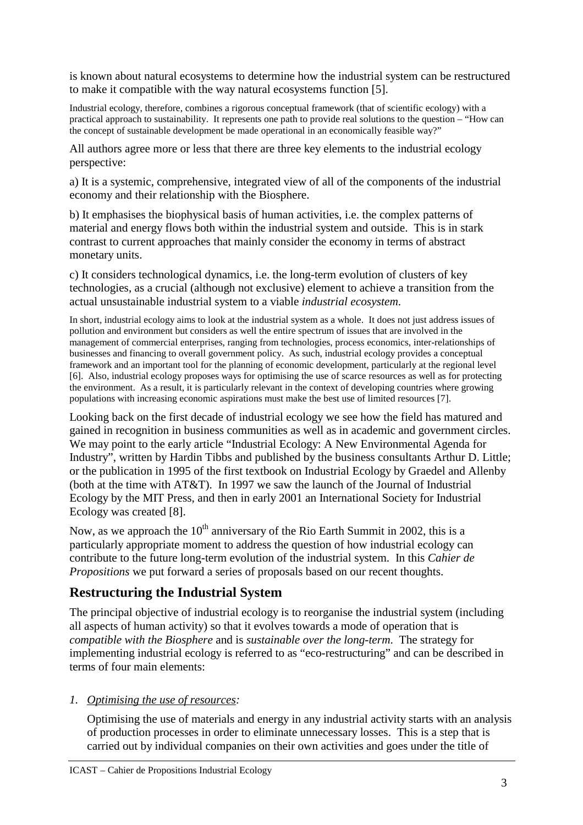is known about natural ecosystems to determine how the industrial system can be restructured to make it compatible with the way natural ecosystems function [5].

Industrial ecology, therefore, combines a rigorous conceptual framework (that of scientific ecology) with a practical approach to sustainability. It represents one path to provide real solutions to the question – "How can the concept of sustainable development be made operational in an economically feasible way?"

All authors agree more or less that there are three key elements to the industrial ecology perspective:

a) It is a systemic, comprehensive, integrated view of all of the components of the industrial economy and their relationship with the Biosphere.

b) It emphasises the biophysical basis of human activities, i.e. the complex patterns of material and energy flows both within the industrial system and outside. This is in stark contrast to current approaches that mainly consider the economy in terms of abstract monetary units.

c) It considers technological dynamics, i.e. the long-term evolution of clusters of key technologies, as a crucial (although not exclusive) element to achieve a transition from the actual unsustainable industrial system to a viable *industrial ecosystem*.

In short, industrial ecology aims to look at the industrial system as a whole. It does not just address issues of pollution and environment but considers as well the entire spectrum of issues that are involved in the management of commercial enterprises, ranging from technologies, process economics, inter-relationships of businesses and financing to overall government policy. As such, industrial ecology provides a conceptual framework and an important tool for the planning of economic development, particularly at the regional level [6]. Also, industrial ecology proposes ways for optimising the use of scarce resources as well as for protecting the environment. As a result, it is particularly relevant in the context of developing countries where growing populations with increasing economic aspirations must make the best use of limited resources [7].

Looking back on the first decade of industrial ecology we see how the field has matured and gained in recognition in business communities as well as in academic and government circles. We may point to the early article "Industrial Ecology: A New Environmental Agenda for Industry", written by Hardin Tibbs and published by the business consultants Arthur D. Little; or the publication in 1995 of the first textbook on Industrial Ecology by Graedel and Allenby (both at the time with AT&T). In 1997 we saw the launch of the Journal of Industrial Ecology by the MIT Press, and then in early 2001 an International Society for Industrial Ecology was created [8].

Now, as we approach the  $10^{th}$  anniversary of the Rio Earth Summit in 2002, this is a particularly appropriate moment to address the question of how industrial ecology can contribute to the future long-term evolution of the industrial system. In this *Cahier de Propositions* we put forward a series of proposals based on our recent thoughts.

## **Restructuring the Industrial System**

The principal objective of industrial ecology is to reorganise the industrial system (including all aspects of human activity) so that it evolves towards a mode of operation that is *compatible with the Biosphere* and is *sustainable over the long-term*. The strategy for implementing industrial ecology is referred to as "eco-restructuring" and can be described in terms of four main elements:

### *1. Optimising the use of resources:*

Optimising the use of materials and energy in any industrial activity starts with an analysis of production processes in order to eliminate unnecessary losses. This is a step that is carried out by individual companies on their own activities and goes under the title of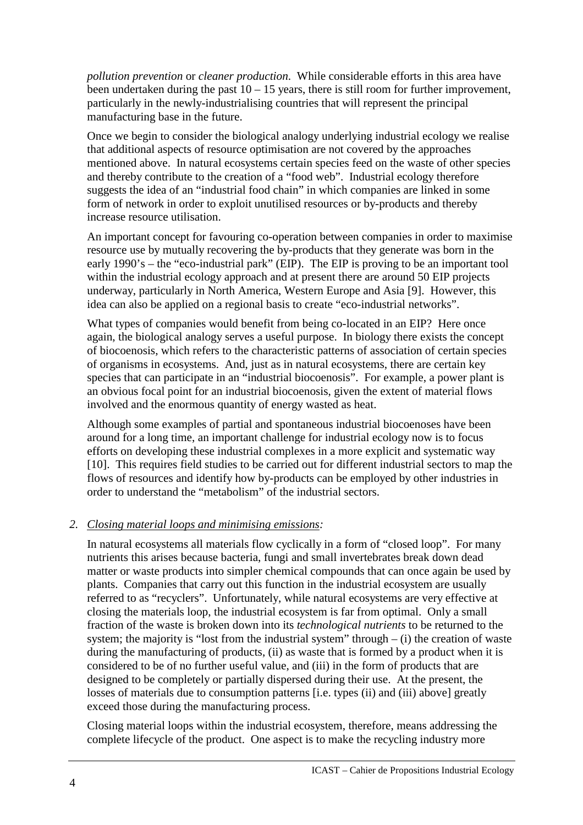*pollution prevention* or *cleaner production*. While considerable efforts in this area have been undertaken during the past  $10 - 15$  years, there is still room for further improvement, particularly in the newly-industrialising countries that will represent the principal manufacturing base in the future.

Once we begin to consider the biological analogy underlying industrial ecology we realise that additional aspects of resource optimisation are not covered by the approaches mentioned above. In natural ecosystems certain species feed on the waste of other species and thereby contribute to the creation of a "food web". Industrial ecology therefore suggests the idea of an "industrial food chain" in which companies are linked in some form of network in order to exploit unutilised resources or by-products and thereby increase resource utilisation.

An important concept for favouring co-operation between companies in order to maximise resource use by mutually recovering the by-products that they generate was born in the early 1990's – the "eco-industrial park" (EIP). The EIP is proving to be an important tool within the industrial ecology approach and at present there are around 50 EIP projects underway, particularly in North America, Western Europe and Asia [9]. However, this idea can also be applied on a regional basis to create "eco-industrial networks".

What types of companies would benefit from being co-located in an EIP? Here once again, the biological analogy serves a useful purpose. In biology there exists the concept of biocoenosis, which refers to the characteristic patterns of association of certain species of organisms in ecosystems. And, just as in natural ecosystems, there are certain key species that can participate in an "industrial biocoenosis". For example, a power plant is an obvious focal point for an industrial biocoenosis, given the extent of material flows involved and the enormous quantity of energy wasted as heat.

Although some examples of partial and spontaneous industrial biocoenoses have been around for a long time, an important challenge for industrial ecology now is to focus efforts on developing these industrial complexes in a more explicit and systematic way [10]. This requires field studies to be carried out for different industrial sectors to map the flows of resources and identify how by-products can be employed by other industries in order to understand the "metabolism" of the industrial sectors.

### *2. Closing material loops and minimising emissions:*

In natural ecosystems all materials flow cyclically in a form of "closed loop". For many nutrients this arises because bacteria, fungi and small invertebrates break down dead matter or waste products into simpler chemical compounds that can once again be used by plants. Companies that carry out this function in the industrial ecosystem are usually referred to as "recyclers". Unfortunately, while natural ecosystems are very effective at closing the materials loop, the industrial ecosystem is far from optimal. Only a small fraction of the waste is broken down into its *technological nutrients* to be returned to the system; the majority is "lost from the industrial system" through  $-$  (i) the creation of waste during the manufacturing of products, (ii) as waste that is formed by a product when it is considered to be of no further useful value, and (iii) in the form of products that are designed to be completely or partially dispersed during their use. At the present, the losses of materials due to consumption patterns [i.e. types (ii) and (iii) above] greatly exceed those during the manufacturing process.

Closing material loops within the industrial ecosystem, therefore, means addressing the complete lifecycle of the product. One aspect is to make the recycling industry more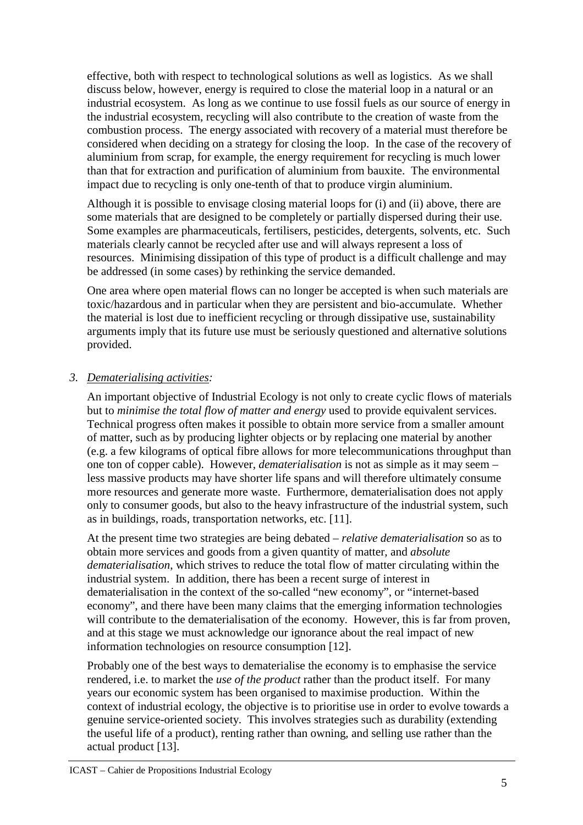effective, both with respect to technological solutions as well as logistics. As we shall discuss below, however, energy is required to close the material loop in a natural or an industrial ecosystem. As long as we continue to use fossil fuels as our source of energy in the industrial ecosystem, recycling will also contribute to the creation of waste from the combustion process. The energy associated with recovery of a material must therefore be considered when deciding on a strategy for closing the loop. In the case of the recovery of aluminium from scrap, for example, the energy requirement for recycling is much lower than that for extraction and purification of aluminium from bauxite. The environmental impact due to recycling is only one-tenth of that to produce virgin aluminium.

Although it is possible to envisage closing material loops for (i) and (ii) above, there are some materials that are designed to be completely or partially dispersed during their use. Some examples are pharmaceuticals, fertilisers, pesticides, detergents, solvents, etc. Such materials clearly cannot be recycled after use and will always represent a loss of resources. Minimising dissipation of this type of product is a difficult challenge and may be addressed (in some cases) by rethinking the service demanded.

One area where open material flows can no longer be accepted is when such materials are toxic/hazardous and in particular when they are persistent and bio-accumulate. Whether the material is lost due to inefficient recycling or through dissipative use, sustainability arguments imply that its future use must be seriously questioned and alternative solutions provided.

#### *3. Dematerialising activities:*

An important objective of Industrial Ecology is not only to create cyclic flows of materials but to *minimise the total flow of matter and energy* used to provide equivalent services. Technical progress often makes it possible to obtain more service from a smaller amount of matter, such as by producing lighter objects or by replacing one material by another (e.g. a few kilograms of optical fibre allows for more telecommunications throughput than one ton of copper cable). However, *dematerialisation* is not as simple as it may seem – less massive products may have shorter life spans and will therefore ultimately consume more resources and generate more waste. Furthermore, dematerialisation does not apply only to consumer goods, but also to the heavy infrastructure of the industrial system, such as in buildings, roads, transportation networks, etc. [11].

At the present time two strategies are being debated – *relative dematerialisation* so as to obtain more services and goods from a given quantity of matter, and *absolute dematerialisation*, which strives to reduce the total flow of matter circulating within the industrial system. In addition, there has been a recent surge of interest in dematerialisation in the context of the so-called "new economy", or "internet-based economy", and there have been many claims that the emerging information technologies will contribute to the dematerialisation of the economy. However, this is far from proven, and at this stage we must acknowledge our ignorance about the real impact of new information technologies on resource consumption [12].

Probably one of the best ways to dematerialise the economy is to emphasise the service rendered, i.e. to market the *use of the product* rather than the product itself. For many years our economic system has been organised to maximise production. Within the context of industrial ecology, the objective is to prioritise use in order to evolve towards a genuine service-oriented society. This involves strategies such as durability (extending the useful life of a product), renting rather than owning, and selling use rather than the actual product [13].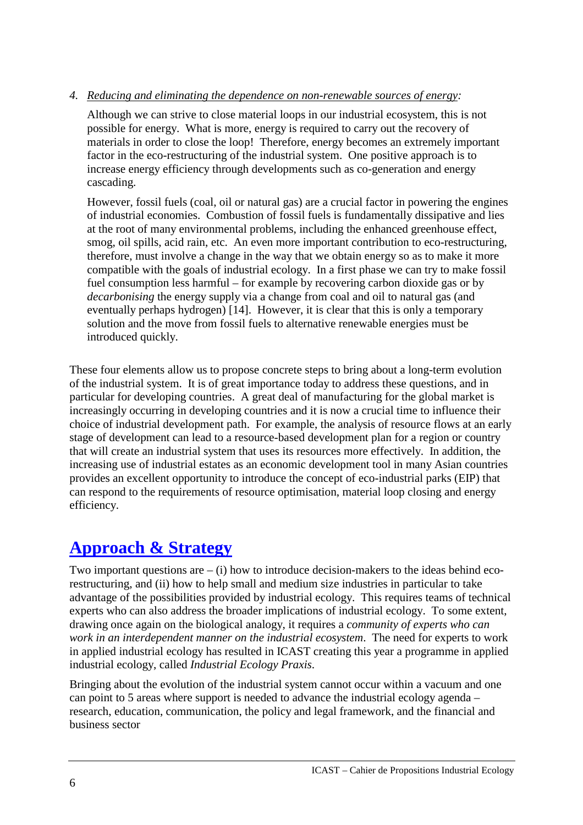#### *4. Reducing and eliminating the dependence on non-renewable sources of energy:*

Although we can strive to close material loops in our industrial ecosystem, this is not possible for energy. What is more, energy is required to carry out the recovery of materials in order to close the loop! Therefore, energy becomes an extremely important factor in the eco-restructuring of the industrial system. One positive approach is to increase energy efficiency through developments such as co-generation and energy cascading.

However, fossil fuels (coal, oil or natural gas) are a crucial factor in powering the engines of industrial economies. Combustion of fossil fuels is fundamentally dissipative and lies at the root of many environmental problems, including the enhanced greenhouse effect, smog, oil spills, acid rain, etc. An even more important contribution to eco-restructuring, therefore, must involve a change in the way that we obtain energy so as to make it more compatible with the goals of industrial ecology. In a first phase we can try to make fossil fuel consumption less harmful – for example by recovering carbon dioxide gas or by *decarbonising* the energy supply via a change from coal and oil to natural gas (and eventually perhaps hydrogen) [14]. However, it is clear that this is only a temporary solution and the move from fossil fuels to alternative renewable energies must be introduced quickly.

These four elements allow us to propose concrete steps to bring about a long-term evolution of the industrial system. It is of great importance today to address these questions, and in particular for developing countries. A great deal of manufacturing for the global market is increasingly occurring in developing countries and it is now a crucial time to influence their choice of industrial development path. For example, the analysis of resource flows at an early stage of development can lead to a resource-based development plan for a region or country that will create an industrial system that uses its resources more effectively. In addition, the increasing use of industrial estates as an economic development tool in many Asian countries provides an excellent opportunity to introduce the concept of eco-industrial parks (EIP) that can respond to the requirements of resource optimisation, material loop closing and energy efficiency.

## **Approach & Strategy**

Two important questions are  $-$  (i) how to introduce decision-makers to the ideas behind ecorestructuring, and (ii) how to help small and medium size industries in particular to take advantage of the possibilities provided by industrial ecology. This requires teams of technical experts who can also address the broader implications of industrial ecology. To some extent, drawing once again on the biological analogy, it requires a *community of experts who can work in an interdependent manner on the industrial ecosystem*. The need for experts to work in applied industrial ecology has resulted in ICAST creating this year a programme in applied industrial ecology, called *Industrial Ecology Praxis*.

Bringing about the evolution of the industrial system cannot occur within a vacuum and one can point to 5 areas where support is needed to advance the industrial ecology agenda – research, education, communication, the policy and legal framework, and the financial and business sector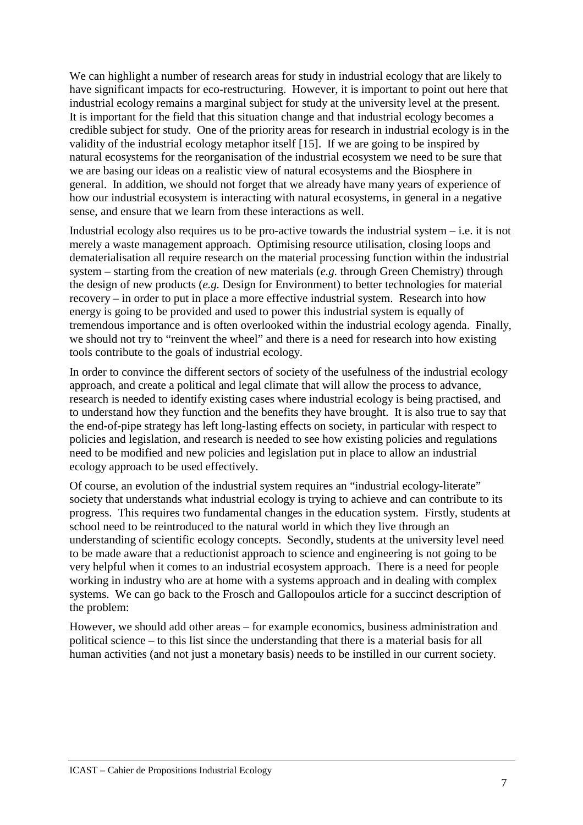We can highlight a number of research areas for study in industrial ecology that are likely to have significant impacts for eco-restructuring. However, it is important to point out here that industrial ecology remains a marginal subject for study at the university level at the present. It is important for the field that this situation change and that industrial ecology becomes a credible subject for study. One of the priority areas for research in industrial ecology is in the validity of the industrial ecology metaphor itself [15]. If we are going to be inspired by natural ecosystems for the reorganisation of the industrial ecosystem we need to be sure that we are basing our ideas on a realistic view of natural ecosystems and the Biosphere in general. In addition, we should not forget that we already have many years of experience of how our industrial ecosystem is interacting with natural ecosystems, in general in a negative sense, and ensure that we learn from these interactions as well.

Industrial ecology also requires us to be pro-active towards the industrial system  $-i.e.$  it is not merely a waste management approach. Optimising resource utilisation, closing loops and dematerialisation all require research on the material processing function within the industrial system – starting from the creation of new materials (*e.g.* through Green Chemistry) through the design of new products (*e.g.* Design for Environment) to better technologies for material recovery – in order to put in place a more effective industrial system. Research into how energy is going to be provided and used to power this industrial system is equally of tremendous importance and is often overlooked within the industrial ecology agenda. Finally, we should not try to "reinvent the wheel" and there is a need for research into how existing tools contribute to the goals of industrial ecology.

In order to convince the different sectors of society of the usefulness of the industrial ecology approach, and create a political and legal climate that will allow the process to advance, research is needed to identify existing cases where industrial ecology is being practised, and to understand how they function and the benefits they have brought. It is also true to say that the end-of-pipe strategy has left long-lasting effects on society, in particular with respect to policies and legislation, and research is needed to see how existing policies and regulations need to be modified and new policies and legislation put in place to allow an industrial ecology approach to be used effectively.

Of course, an evolution of the industrial system requires an "industrial ecology-literate" society that understands what industrial ecology is trying to achieve and can contribute to its progress. This requires two fundamental changes in the education system. Firstly, students at school need to be reintroduced to the natural world in which they live through an understanding of scientific ecology concepts. Secondly, students at the university level need to be made aware that a reductionist approach to science and engineering is not going to be very helpful when it comes to an industrial ecosystem approach. There is a need for people working in industry who are at home with a systems approach and in dealing with complex systems. We can go back to the Frosch and Gallopoulos article for a succinct description of the problem:

However, we should add other areas – for example economics, business administration and political science – to this list since the understanding that there is a material basis for all human activities (and not just a monetary basis) needs to be instilled in our current society.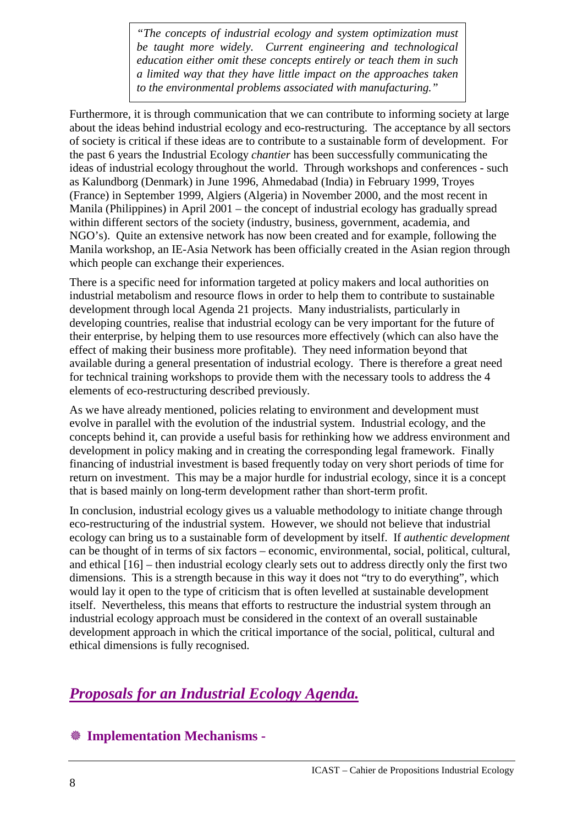*"The concepts of industrial ecology and system optimization must be taught more widely. Current engineering and technological education either omit these concepts entirely or teach them in such a limited way that they have little impact on the approaches taken to the environmental problems associated with manufacturing."* 

Furthermore, it is through communication that we can contribute to informing society at large about the ideas behind industrial ecology and eco-restructuring. The acceptance by all sectors of society is critical if these ideas are to contribute to a sustainable form of development. For the past 6 years the Industrial Ecology *chantier* has been successfully communicating the ideas of industrial ecology throughout the world. Through workshops and conferences - such as Kalundborg (Denmark) in June 1996, Ahmedabad (India) in February 1999, Troyes (France) in September 1999, Algiers (Algeria) in November 2000, and the most recent in Manila (Philippines) in April 2001 – the concept of industrial ecology has gradually spread within different sectors of the society (industry, business, government, academia, and NGO's). Quite an extensive network has now been created and for example, following the Manila workshop, an IE-Asia Network has been officially created in the Asian region through which people can exchange their experiences.

There is a specific need for information targeted at policy makers and local authorities on industrial metabolism and resource flows in order to help them to contribute to sustainable development through local Agenda 21 projects. Many industrialists, particularly in developing countries, realise that industrial ecology can be very important for the future of their enterprise, by helping them to use resources more effectively (which can also have the effect of making their business more profitable). They need information beyond that available during a general presentation of industrial ecology. There is therefore a great need for technical training workshops to provide them with the necessary tools to address the 4 elements of eco-restructuring described previously.

As we have already mentioned, policies relating to environment and development must evolve in parallel with the evolution of the industrial system. Industrial ecology, and the concepts behind it, can provide a useful basis for rethinking how we address environment and development in policy making and in creating the corresponding legal framework. Finally financing of industrial investment is based frequently today on very short periods of time for return on investment. This may be a major hurdle for industrial ecology, since it is a concept that is based mainly on long-term development rather than short-term profit.

In conclusion, industrial ecology gives us a valuable methodology to initiate change through eco-restructuring of the industrial system. However, we should not believe that industrial ecology can bring us to a sustainable form of development by itself. If *authentic development* can be thought of in terms of six factors – economic, environmental, social, political, cultural, and ethical [16] – then industrial ecology clearly sets out to address directly only the first two dimensions. This is a strength because in this way it does not "try to do everything", which would lay it open to the type of criticism that is often levelled at sustainable development itself. Nevertheless, this means that efforts to restructure the industrial system through an industrial ecology approach must be considered in the context of an overall sustainable development approach in which the critical importance of the social, political, cultural and ethical dimensions is fully recognised.

## *Proposals for an Industrial Ecology Agenda.*

## ! **Implementation Mechanisms -**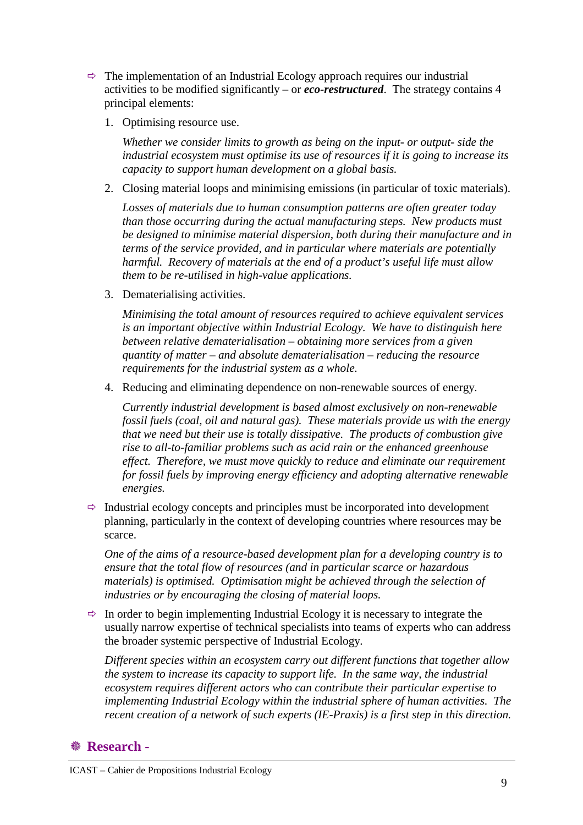- $\Rightarrow$  The implementation of an Industrial Ecology approach requires our industrial activities to be modified significantly – or *eco-restructured*. The strategy contains 4 principal elements:
	- 1. Optimising resource use.

*Whether we consider limits to growth as being on the input- or output- side the industrial ecosystem must optimise its use of resources if it is going to increase its capacity to support human development on a global basis.* 

2. Closing material loops and minimising emissions (in particular of toxic materials).

*Losses of materials due to human consumption patterns are often greater today than those occurring during the actual manufacturing steps. New products must be designed to minimise material dispersion, both during their manufacture and in terms of the service provided, and in particular where materials are potentially harmful. Recovery of materials at the end of a product's useful life must allow them to be re-utilised in high-value applications.* 

3. Dematerialising activities.

*Minimising the total amount of resources required to achieve equivalent services is an important objective within Industrial Ecology. We have to distinguish here between relative dematerialisation – obtaining more services from a given quantity of matter – and absolute dematerialisation – reducing the resource requirements for the industrial system as a whole.* 

4. Reducing and eliminating dependence on non-renewable sources of energy.

*Currently industrial development is based almost exclusively on non-renewable fossil fuels (coal, oil and natural gas). These materials provide us with the energy that we need but their use is totally dissipative. The products of combustion give rise to all-to-familiar problems such as acid rain or the enhanced greenhouse effect. Therefore, we must move quickly to reduce and eliminate our requirement for fossil fuels by improving energy efficiency and adopting alternative renewable energies.* 

 $\Rightarrow$  Industrial ecology concepts and principles must be incorporated into development planning, particularly in the context of developing countries where resources may be scarce.

*One of the aims of a resource-based development plan for a developing country is to ensure that the total flow of resources (and in particular scarce or hazardous materials) is optimised. Optimisation might be achieved through the selection of industries or by encouraging the closing of material loops.* 

 $\Rightarrow$  In order to begin implementing Industrial Ecology it is necessary to integrate the usually narrow expertise of technical specialists into teams of experts who can address the broader systemic perspective of Industrial Ecology.

*Different species within an ecosystem carry out different functions that together allow the system to increase its capacity to support life. In the same way, the industrial ecosystem requires different actors who can contribute their particular expertise to implementing Industrial Ecology within the industrial sphere of human activities. The recent creation of a network of such experts (IE-Praxis) is a first step in this direction.* 

### **& Research -**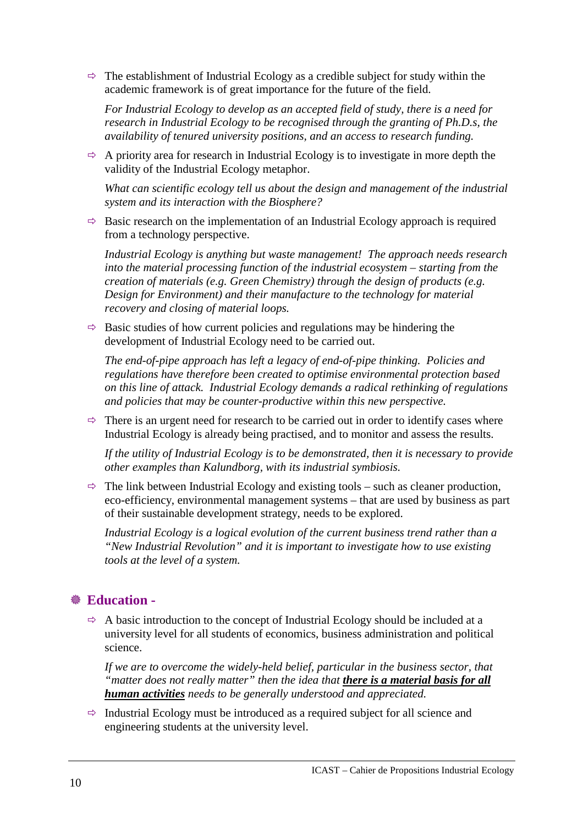$\Rightarrow$  The establishment of Industrial Ecology as a credible subject for study within the academic framework is of great importance for the future of the field.

*For Industrial Ecology to develop as an accepted field of study, there is a need for research in Industrial Ecology to be recognised through the granting of Ph.D.s, the availability of tenured university positions, and an access to research funding.* 

 $\Rightarrow$  A priority area for research in Industrial Ecology is to investigate in more depth the validity of the Industrial Ecology metaphor.

*What can scientific ecology tell us about the design and management of the industrial system and its interaction with the Biosphere?*

 $\Rightarrow$  Basic research on the implementation of an Industrial Ecology approach is required from a technology perspective.

*Industrial Ecology is anything but waste management! The approach needs research into the material processing function of the industrial ecosystem – starting from the creation of materials (e.g. Green Chemistry) through the design of products (e.g. Design for Environment) and their manufacture to the technology for material recovery and closing of material loops.* 

 $\Rightarrow$  Basic studies of how current policies and regulations may be hindering the development of Industrial Ecology need to be carried out.

*The end-of-pipe approach has left a legacy of end-of-pipe thinking. Policies and regulations have therefore been created to optimise environmental protection based on this line of attack. Industrial Ecology demands a radical rethinking of regulations and policies that may be counter-productive within this new perspective.* 

 $\Rightarrow$  There is an urgent need for research to be carried out in order to identify cases where Industrial Ecology is already being practised, and to monitor and assess the results.

*If the utility of Industrial Ecology is to be demonstrated, then it is necessary to provide other examples than Kalundborg, with its industrial symbiosis.* 

 $\Rightarrow$  The link between Industrial Ecology and existing tools – such as cleaner production, eco-efficiency, environmental management systems – that are used by business as part of their sustainable development strategy, needs to be explored.

*Industrial Ecology is a logical evolution of the current business trend rather than a "New Industrial Revolution" and it is important to investigate how to use existing tools at the level of a system.* 

## ! **Education -**

 $\Rightarrow$  A basic introduction to the concept of Industrial Ecology should be included at a university level for all students of economics, business administration and political science.

*If we are to overcome the widely-held belief, particular in the business sector, that "matter does not really matter" then the idea that there is a material basis for all human activities needs to be generally understood and appreciated.* 

 $\Rightarrow$  Industrial Ecology must be introduced as a required subject for all science and engineering students at the university level.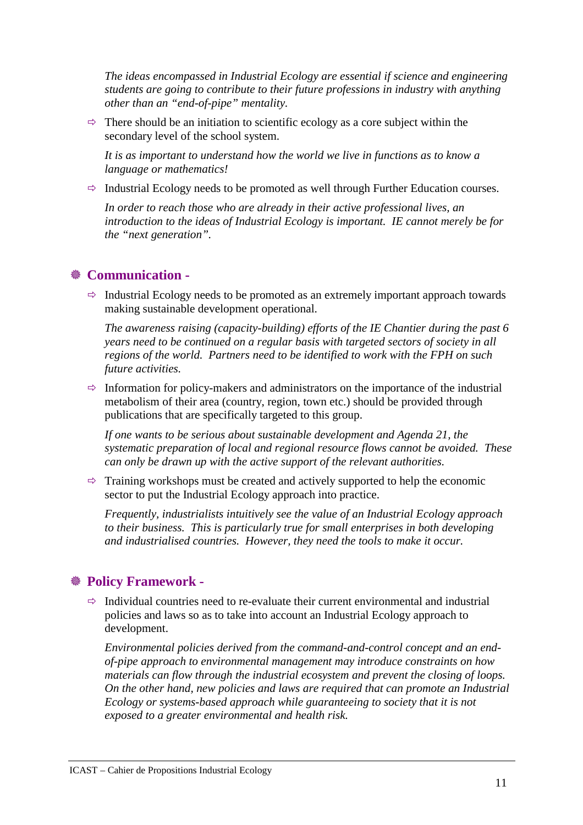*The ideas encompassed in Industrial Ecology are essential if science and engineering students are going to contribute to their future professions in industry with anything other than an "end-of-pipe" mentality.* 

 $\Rightarrow$  There should be an initiation to scientific ecology as a core subject within the secondary level of the school system.

*It is as important to understand how the world we live in functions as to know a language or mathematics!* 

 $\Rightarrow$  Industrial Ecology needs to be promoted as well through Further Education courses.

*In order to reach those who are already in their active professional lives, an introduction to the ideas of Industrial Ecology is important. IE cannot merely be for the "next generation".* 

### ! **Communication -**

 $\Rightarrow$  Industrial Ecology needs to be promoted as an extremely important approach towards making sustainable development operational.

*The awareness raising (capacity-building) efforts of the IE Chantier during the past 6 years need to be continued on a regular basis with targeted sectors of society in all regions of the world. Partners need to be identified to work with the FPH on such future activities.* 

 $\Rightarrow$  Information for policy-makers and administrators on the importance of the industrial metabolism of their area (country, region, town etc.) should be provided through publications that are specifically targeted to this group.

*If one wants to be serious about sustainable development and Agenda 21, the systematic preparation of local and regional resource flows cannot be avoided. These can only be drawn up with the active support of the relevant authorities.* 

 $\Rightarrow$  Training workshops must be created and actively supported to help the economic sector to put the Industrial Ecology approach into practice.

*Frequently, industrialists intuitively see the value of an Industrial Ecology approach to their business. This is particularly true for small enterprises in both developing and industrialised countries. However, they need the tools to make it occur.* 

### ! **Policy Framework -**

 $\Rightarrow$  Individual countries need to re-evaluate their current environmental and industrial policies and laws so as to take into account an Industrial Ecology approach to development.

*Environmental policies derived from the command-and-control concept and an endof-pipe approach to environmental management may introduce constraints on how materials can flow through the industrial ecosystem and prevent the closing of loops. On the other hand, new policies and laws are required that can promote an Industrial Ecology or systems-based approach while guaranteeing to society that it is not exposed to a greater environmental and health risk.*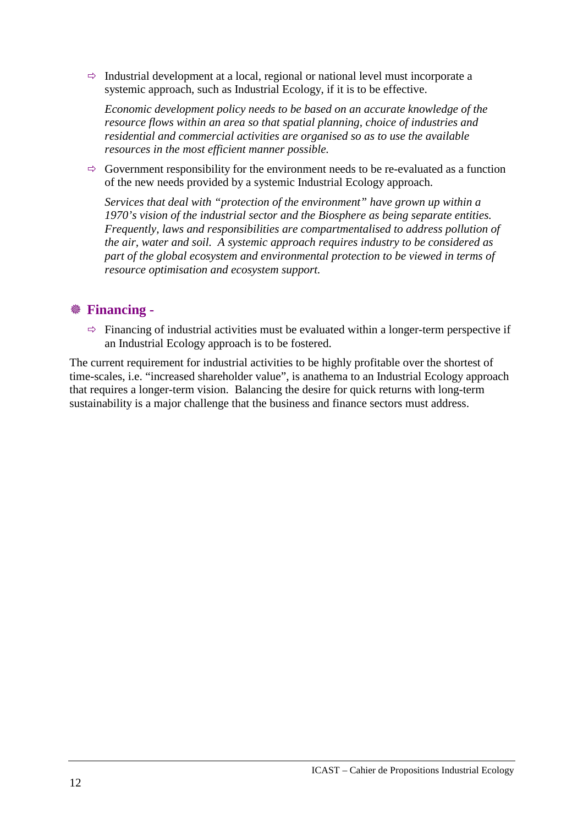$\Rightarrow$  Industrial development at a local, regional or national level must incorporate a systemic approach, such as Industrial Ecology, if it is to be effective.

*Economic development policy needs to be based on an accurate knowledge of the resource flows within an area so that spatial planning, choice of industries and residential and commercial activities are organised so as to use the available resources in the most efficient manner possible.* 

 $\Rightarrow$  Government responsibility for the environment needs to be re-evaluated as a function of the new needs provided by a systemic Industrial Ecology approach.

*Services that deal with "protection of the environment" have grown up within a 1970's vision of the industrial sector and the Biosphere as being separate entities. Frequently, laws and responsibilities are compartmentalised to address pollution of the air, water and soil. A systemic approach requires industry to be considered as part of the global ecosystem and environmental protection to be viewed in terms of resource optimisation and ecosystem support.* 

### ! **Financing -**

 $\Rightarrow$  Financing of industrial activities must be evaluated within a longer-term perspective if an Industrial Ecology approach is to be fostered.

The current requirement for industrial activities to be highly profitable over the shortest of time-scales, i.e. "increased shareholder value", is anathema to an Industrial Ecology approach that requires a longer-term vision. Balancing the desire for quick returns with long-term sustainability is a major challenge that the business and finance sectors must address.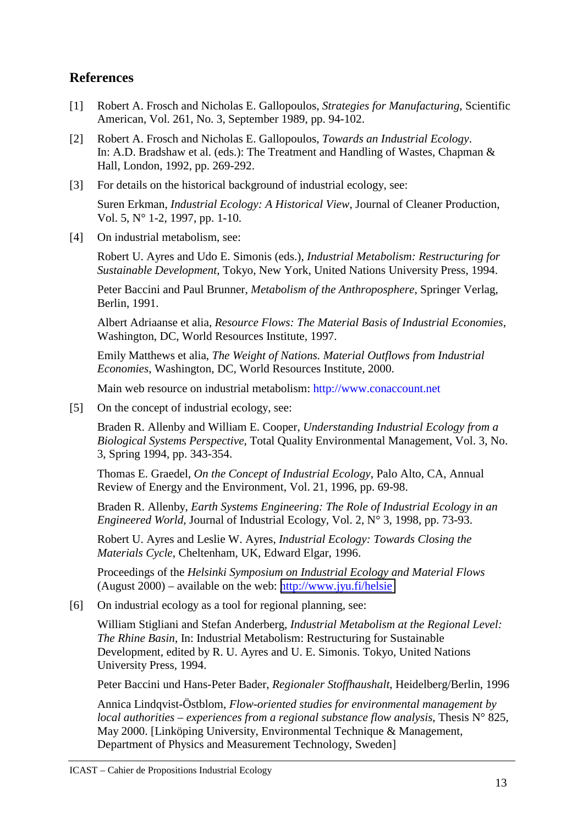### **References**

- [1] Robert A. Frosch and Nicholas E. Gallopoulos, *Strategies for Manufacturing*, Scientific American, Vol. 261, No. 3, September 1989, pp. 94-102.
- [2] Robert A. Frosch and Nicholas E. Gallopoulos, *Towards an Industrial Ecology*. In: A.D. Bradshaw et al. (eds.): The Treatment and Handling of Wastes, Chapman & Hall, London, 1992, pp. 269-292.
- [3] For details on the historical background of industrial ecology, see:

Suren Erkman, *Industrial Ecology: A Historical View*, Journal of Cleaner Production, Vol. 5, N° 1-2, 1997, pp. 1-10.

[4] On industrial metabolism, see:

Robert U. Ayres and Udo E. Simonis (eds.), *Industrial Metabolism: Restructuring for Sustainable Development*, Tokyo, New York, United Nations University Press, 1994.

Peter Baccini and Paul Brunner, *Metabolism of the Anthroposphere*, Springer Verlag, Berlin, 1991.

Albert Adriaanse et alia, *Resource Flows: The Material Basis of Industrial Economies*, Washington, DC, World Resources Institute, 1997.

Emily Matthews et alia, *The Weight of Nations. Material Outflows from Industrial Economies*, Washington, DC, World Resources Institute, 2000.

Main web resource on industrial metabolism: http://www.conaccount.net

[5] On the concept of industrial ecology, see:

Braden R. Allenby and William E. Cooper, *Understanding Industrial Ecology from a Biological Systems Perspective*, Total Quality Environmental Management, Vol. 3, No. 3, Spring 1994, pp. 343-354.

Thomas E. Graedel, *On the Concept of Industrial Ecology*, Palo Alto, CA, Annual Review of Energy and the Environment, Vol. 21, 1996, pp. 69-98.

Braden R. Allenby, *Earth Systems Engineering: The Role of Industrial Ecology in an Engineered World*, Journal of Industrial Ecology, Vol. 2, N° 3, 1998, pp. 73-93.

Robert U. Ayres and Leslie W. Ayres, *Industrial Ecology: Towards Closing the Materials Cycle*, Cheltenham, UK, Edward Elgar, 1996.

Proceedings of the *Helsinki Symposium on Industrial Ecology and Material Flows* (August 2000) – available on the web: <http://www.jyu.fi/helsie>

[6] On industrial ecology as a tool for regional planning, see:

William Stigliani and Stefan Anderberg, *Industrial Metabolism at the Regional Level: The Rhine Basin*, In: Industrial Metabolism: Restructuring for Sustainable Development, edited by R. U. Ayres and U. E. Simonis. Tokyo, United Nations University Press, 1994.

Peter Baccini und Hans-Peter Bader, *Regionaler Stoffhaushalt*, Heidelberg/Berlin, 1996

Annica Lindqvist-Östblom, *Flow-oriented studies for environmental management by local authorities – experiences from a regional substance flow analysis*, Thesis N° 825, May 2000. [Linköping University, Environmental Technique & Management, Department of Physics and Measurement Technology, Sweden]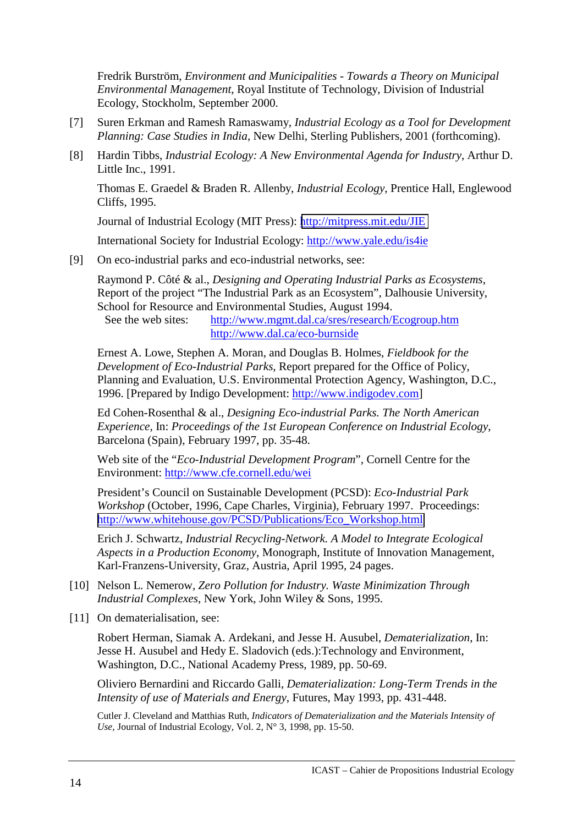Fredrik Burström, *Environment and Municipalities - Towards a Theory on Municipal Environmental Management*, Royal Institute of Technology, Division of Industrial Ecology, Stockholm, September 2000.

- [7] Suren Erkman and Ramesh Ramaswamy, *Industrial Ecology as a Tool for Development Planning: Case Studies in India*, New Delhi, Sterling Publishers, 2001 (forthcoming).
- [8] Hardin Tibbs, *Industrial Ecology: A New Environmental Agenda for Industry*, Arthur D. Little Inc., 1991.

Thomas E. Graedel & Braden R. Allenby, *Industrial Ecology*, Prentice Hall, Englewood Cliffs, 1995.

Journal of Industrial Ecology (MIT Press): <http://mitpress.mit.edu/JIE>

International Society for Industrial Ecology: http://www.yale.edu/is4ie

[9] On eco-industrial parks and eco-industrial networks, see:

Raymond P. Côté & al., *Designing and Operating Industrial Parks as Ecosystems*, Report of the project "The Industrial Park as an Ecosystem", Dalhousie University, School for Resource and Environmental Studies, August 1994.

See the web sites: http://www.mgmt.dal.ca/sres/research/Ecogroup.htm http://www.dal.ca/eco-burnside

Ernest A. Lowe, Stephen A. Moran, and Douglas B. Holmes, *Fieldbook for the Development of Eco-Industrial Parks*, Report prepared for the Office of Policy, Planning and Evaluation, U.S. Environmental Protection Agency, Washington, D.C., 1996. [Prepared by Indigo Development: http://www.indigodev.com]

Ed Cohen-Rosenthal & al., *Designing Eco-industrial Parks. The North American Experience,* In: *Proceedings of the 1st European Conference on Industrial Ecology*, Barcelona (Spain), February 1997, pp. 35-48.

Web site of the "*Eco-Industrial Development Program*", Cornell Centre for the Environment: http://www.cfe.cornell.edu/wei

President's Council on Sustainable Development (PCSD): *Eco-Industrial Park Workshop* (October, 1996, Cape Charles, Virginia), February 1997. Proceedings: [http://www.whitehouse.gov/PCSD/Publications/Eco\\_Workshop.html](http://www.whitehouse.gov/PCSD/Publications/Eco_Workshop.html)

Erich J. Schwartz, *Industrial Recycling-Network. A Model to Integrate Ecological Aspects in a Production Economy*, Monograph, Institute of Innovation Management, Karl-Franzens-University, Graz, Austria, April 1995, 24 pages.

- [10] Nelson L. Nemerow, *Zero Pollution for Industry. Waste Minimization Through Industrial Complexes*, New York, John Wiley & Sons, 1995.
- [11] On dematerialisation, see:

Robert Herman, Siamak A. Ardekani, and Jesse H. Ausubel, *Dematerialization*, In: Jesse H. Ausubel and Hedy E. Sladovich (eds.):Technology and Environment, Washington, D.C., National Academy Press, 1989, pp. 50-69.

Oliviero Bernardini and Riccardo Galli, *Dematerialization: Long-Term Trends in the Intensity of use of Materials and Energy*, Futures, May 1993, pp. 431-448.

Cutler J. Cleveland and Matthias Ruth, *Indicators of Dematerialization and the Materials Intensity of Use*, Journal of Industrial Ecology, Vol. 2, N° 3, 1998, pp. 15-50.